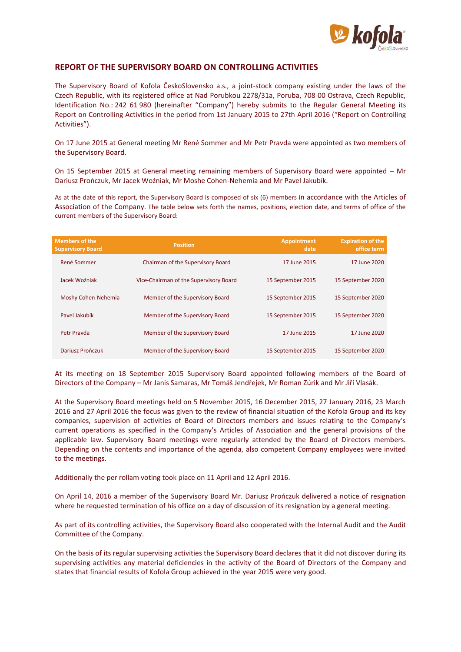

## **REPORT OF THE SUPERVISORY BOARD ON CONTROLLING ACTIVITIES**

The Supervisory Board of Kofola ČeskoSlovensko a.s., a joint-stock company existing under the laws of the Czech Republic, with its registered office at Nad Porubkou 2278/31a, Poruba, 708 00 Ostrava, Czech Republic, Identification No.: 242 61 980 (hereinafter "Company") hereby submits to the Regular General Meeting its Report on Controlling Activities in the period from 1st January 2015 to 27th April 2016 ("Report on Controlling Activities").

On 17 June 2015 at General meeting Mr René Sommer and Mr Petr Pravda were appointed as two members of the Supervisory Board.

On 15 September 2015 at General meeting remaining members of Supervisory Board were appointed – Mr Dariusz Prończuk, Mr Jacek Woźniak, Mr Moshe Cohen-Nehemia and Mr Pavel Jakubík.

As at the date of this report, the Supervisory Board is composed of six (6) members in accordance with the Articles of Association of the Company. The table below sets forth the names, positions, election date, and terms of office of the current members of the Supervisory Board:

| <b>Members of the</b><br><b>Supervisory Board</b> | <b>Position</b>                        | <b>Appointment</b><br>date | <b>Expiration of the</b><br>office term |
|---------------------------------------------------|----------------------------------------|----------------------------|-----------------------------------------|
| René Sommer                                       | Chairman of the Supervisory Board      | 17 June 2015               | 17 June 2020                            |
| Jacek Woźniak                                     | Vice-Chairman of the Supervisory Board | 15 September 2015          | 15 September 2020                       |
| Moshy Cohen-Nehemia                               | Member of the Supervisory Board        | 15 September 2015          | 15 September 2020                       |
| Pavel Jakubík                                     | Member of the Supervisory Board        | 15 September 2015          | 15 September 2020                       |
| Petr Prayda                                       | Member of the Supervisory Board        | 17 June 2015               | 17 June 2020                            |
| Dariusz Prończuk                                  | Member of the Supervisory Board        | 15 September 2015          | 15 September 2020                       |

At its meeting on 18 September 2015 Supervisory Board appointed following members of the Board of Directors of the Company – Mr Janis Samaras, Mr Tomáš Jendřejek, Mr Roman Zúrik and Mr Jiří Vlasák.

At the Supervisory Board meetings held on 5 November 2015, 16 December 2015, 27 January 2016, 23 March 2016 and 27 April 2016 the focus was given to the review of financial situation of the Kofola Group and its key companies, supervision of activities of Board of Directors members and issues relating to the Company's current operations as specified in the Company's Articles of Association and the general provisions of the applicable law. Supervisory Board meetings were regularly attended by the Board of Directors members. Depending on the contents and importance of the agenda, also competent Company employees were invited to the meetings.

Additionally the per rollam voting took place on 11 April and 12 April 2016.

On April 14, 2016 a member of the Supervisory Board Mr. Dariusz Prończuk delivered a notice of resignation where he requested termination of his office on a day of discussion of its resignation by a general meeting.

As part of its controlling activities, the Supervisory Board also cooperated with the Internal Audit and the Audit Committee of the Company.

On the basis of its regular supervising activities the Supervisory Board declares that it did not discover during its supervising activities any material deficiencies in the activity of the Board of Directors of the Company and states that financial results of Kofola Group achieved in the year 2015 were very good.